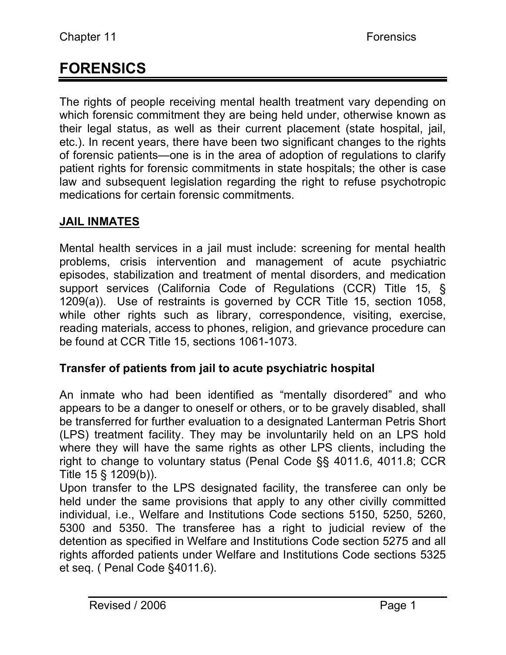# **FORENSICS**

The rights of people receiving mental health treatment vary depending on which forensic commitment they are being held under, otherwise known as their legal status, as well as their current placement (state hospital, jail, etc.). In recent years, there have been two significant changes to the rights of forensic patients—one is in the area of adoption of regulations to clarify patient rights for forensic commitments in state hospitals; the other is case law and subsequent legislation regarding the right to refuse psychotropic medications for certain forensic commitments.

# **JAIL INMATES**

Mental health services in a jail must include: screening for mental health problems, crisis intervention and management of acute psychiatric episodes, stabilization and treatment of mental disorders, and medication support services (California Code of Regulations (CCR) Title 15, § 1209(a)). Use of restraints is governed by CCR Title 15, section 1058, while other rights such as library, correspondence, visiting, exercise, reading materials, access to phones, religion, and grievance procedure can be found at CCR Title 15, sections 1061-1073.

# **Transfer of patients from jail to acute psychiatric hospital**

An inmate who had been identified as "mentally disordered" and who appears to be a danger to oneself or others, or to be gravely disabled, shall be transferred for further evaluation to a designated Lanterman Petris Short (LPS) treatment facility. They may be involuntarily held on an LPS hold where they will have the same rights as other LPS clients, including the right to change to voluntary status (Penal Code §§ 4011.6, 4011.8; CCR Title 15 § 1209(b)).

Upon transfer to the LPS designated facility, the transferee can only be held under the same provisions that apply to any other civilly committed individual, i.e., Welfare and Institutions Code sections 5150, 5250, 5260, 5300 and 5350. The transferee has a right to judicial review of the detention as specified in Welfare and Institutions Code section 5275 and all rights afforded patients under Welfare and Institutions Code sections 5325 et seq. ( Penal Code §4011.6).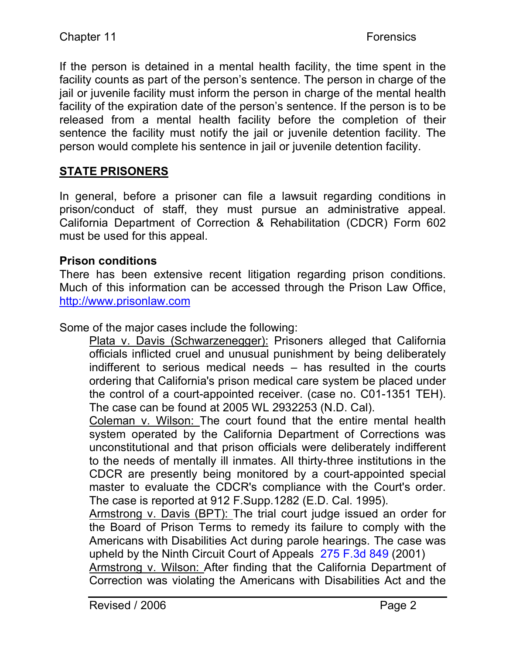If the person is detained in a mental health facility, the time spent in the facility counts as part of the person's sentence. The person in charge of the jail or juvenile facility must inform the person in charge of the mental health facility of the expiration date of the person's sentence. If the person is to be released from a mental health facility before the completion of their sentence the facility must notify the jail or juvenile detention facility. The person would complete his sentence in jail or juvenile detention facility.

# **STATE PRISONERS**

In general, before a prisoner can file a lawsuit regarding conditions in prison/conduct of staff, they must pursue an administrative appeal. California Department of Correction & Rehabilitation (CDCR) Form 602 must be used for this appeal.

#### **Prison conditions**

There has been extensive recent litigation regarding prison conditions. Much of this information can be accessed through the Prison Law Office, http://www.prisonlaw.com

Some of the major cases include the following:

Plata v. Davis (Schwarzenegger): Prisoners alleged that California officials inflicted cruel and unusual punishment by being deliberately indifferent to serious medical needs – has resulted in the courts ordering that California's prison medical care system be placed under the control of a court-appointed receiver. (case no. C01-1351 TEH). The case can be found at 2005 WL 2932253 (N.D. Cal).

Coleman v. Wilson: The court found that the entire mental health system operated by the California Department of Corrections was unconstitutional and that prison officials were deliberately indifferent to the needs of mentally ill inmates. All thirty-three institutions in the CDCR are presently being monitored by a court-appointed special master to evaluate the CDCR's compliance with the Court's order. The case is reported at 912 F.Supp.1282 (E.D. Cal. 1995).

Armstrong v. Davis (BPT): The trial court judge issued an order for the Board of Prison Terms to remedy its failure to comply with the Americans with Disabilities Act during parole hearings. The case was upheld by the Ninth Circuit Court of Appeals 275 F.3d 849 (2001)

Armstrong v. Wilson: After finding that the California Department of Correction was violating the Americans with Disabilities Act and the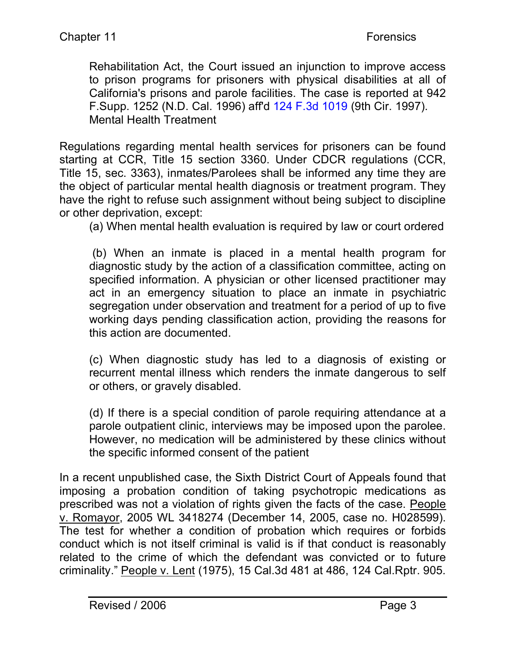Rehabilitation Act, the Court issued an injunction to improve access to prison programs for prisoners with physical disabilities at all of California's prisons and parole facilities. The case is reported at 942 F.Supp. 1252 (N.D. Cal. 1996) aff'd 124 F.3d 1019 (9th Cir. 1997). Mental Health Treatment

Regulations regarding mental health services for prisoners can be found starting at CCR, Title 15 section 3360. Under CDCR regulations (CCR, Title 15, sec. 3363), inmates/Parolees shall be informed any time they are the object of particular mental health diagnosis or treatment program. They have the right to refuse such assignment without being subject to discipline or other deprivation, except:

(a) When mental health evaluation is required by law or court ordered

 (b) When an inmate is placed in a mental health program for diagnostic study by the action of a classification committee, acting on specified information. A physician or other licensed practitioner may act in an emergency situation to place an inmate in psychiatric segregation under observation and treatment for a period of up to five working days pending classification action, providing the reasons for this action are documented.

(c) When diagnostic study has led to a diagnosis of existing or recurrent mental illness which renders the inmate dangerous to self or others, or gravely disabled.

(d) If there is a special condition of parole requiring attendance at a parole outpatient clinic, interviews may be imposed upon the parolee. However, no medication will be administered by these clinics without the specific informed consent of the patient

In a recent unpublished case, the Sixth District Court of Appeals found that imposing a probation condition of taking psychotropic medications as prescribed was not a violation of rights given the facts of the case. People v. Romayor, 2005 WL 3418274 (December 14, 2005, case no. H028599). The test for whether a condition of probation which requires or forbids conduct which is not itself criminal is valid is if that conduct is reasonably related to the crime of which the defendant was convicted or to future criminality." People v. Lent (1975), 15 Cal.3d 481 at 486, 124 Cal.Rptr. 905.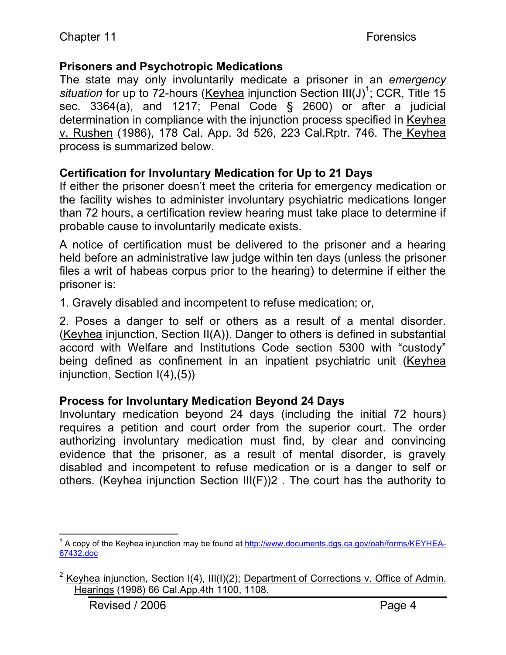# **Prisoners and Psychotropic Medications**

The state may only involuntarily medicate a prisoner in an *emergency*  situation for up to 72-hours (Keyhea injunction Section III(J)<sup>1</sup>; CCR, Title 15 sec. 3364(a), and 1217; Penal Code § 2600) or after a judicial determination in compliance with the injunction process specified in Keyhea v. Rushen (1986), 178 Cal. App. 3d 526, 223 Cal.Rptr. 746. The Keyhea process is summarized below.

# **Certification for Involuntary Medication for Up to 21 Days**

If either the prisoner doesn't meet the criteria for emergency medication or the facility wishes to administer involuntary psychiatric medications longer than 72 hours, a certification review hearing must take place to determine if probable cause to involuntarily medicate exists.

A notice of certification must be delivered to the prisoner and a hearing held before an administrative law judge within ten days (unless the prisoner files a writ of habeas corpus prior to the hearing) to determine if either the prisoner is:

1. Gravely disabled and incompetent to refuse medication; or,

2. Poses a danger to self or others as a result of a mental disorder. (Keyhea injunction, Section II(A)). Danger to others is defined in substantial accord with Welfare and Institutions Code section 5300 with "custody" being defined as confinement in an inpatient psychiatric unit (Keyhea injunction, Section I(4),(5))

# **Process for Involuntary Medication Beyond 24 Days**

Involuntary medication beyond 24 days (including the initial 72 hours) requires a petition and court order from the superior court. The order authorizing involuntary medication must find, by clear and convincing evidence that the prisoner, as a result of mental disorder, is gravely disabled and incompetent to refuse medication or is a danger to self or others. (Keyhea injunction Section III(F))2 . The court has the authority to

 $\frac{1}{1}$  $^1$  A copy of the Keyhea injunction may be found at http://www.documents.dgs.ca.gov/oah/forms/KEYHEA-67432.doc

<sup>&</sup>lt;sup>2</sup> Keyhea injunction, Section  $I(4)$ ,  $III(1)(2)$ ; Department of Corrections v. Office of Admin. Hearings (1998) 66 Cal.App.4th 1100, 1108.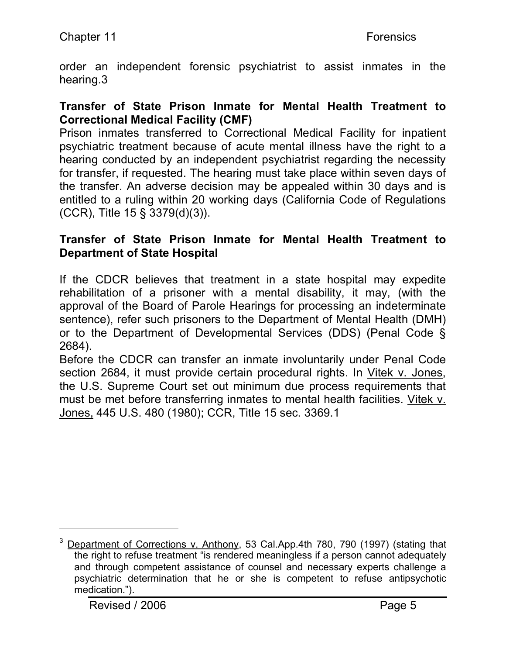order an independent forensic psychiatrist to assist inmates in the hearing.3

#### **Transfer of State Prison Inmate for Mental Health Treatment to Correctional Medical Facility (CMF)**

Prison inmates transferred to Correctional Medical Facility for inpatient psychiatric treatment because of acute mental illness have the right to a hearing conducted by an independent psychiatrist regarding the necessity for transfer, if requested. The hearing must take place within seven days of the transfer. An adverse decision may be appealed within 30 days and is entitled to a ruling within 20 working days (California Code of Regulations (CCR), Title 15 § 3379(d)(3)).

#### **Transfer of State Prison Inmate for Mental Health Treatment to Department of State Hospital**

If the CDCR believes that treatment in a state hospital may expedite rehabilitation of a prisoner with a mental disability, it may, (with the approval of the Board of Parole Hearings for processing an indeterminate sentence), refer such prisoners to the Department of Mental Health (DMH) or to the Department of Developmental Services (DDS) (Penal Code § 2684).

Before the CDCR can transfer an inmate involuntarily under Penal Code section 2684, it must provide certain procedural rights. In Vitek v. Jones, the U.S. Supreme Court set out minimum due process requirements that must be met before transferring inmates to mental health facilities. Vitek v. Jones, 445 U.S. 480 (1980); CCR, Title 15 sec. 3369.1

 $\overline{a}$ 

 $3$  Department of Corrections v. Anthony, 53 Cal.App.4th 780, 790 (1997) (stating that the right to refuse treatment "is rendered meaningless if a person cannot adequately and through competent assistance of counsel and necessary experts challenge a psychiatric determination that he or she is competent to refuse antipsychotic medication.").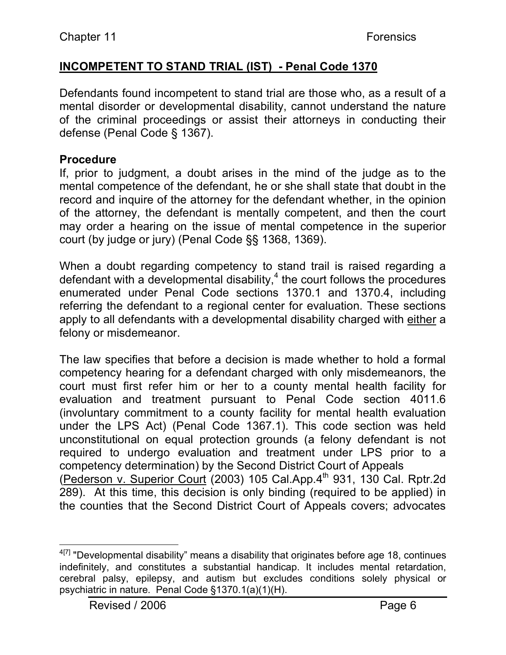# **INCOMPETENT TO STAND TRIAL (IST) - Penal Code 1370**

Defendants found incompetent to stand trial are those who, as a result of a mental disorder or developmental disability, cannot understand the nature of the criminal proceedings or assist their attorneys in conducting their defense (Penal Code § 1367).

#### **Procedure**

If, prior to judgment, a doubt arises in the mind of the judge as to the mental competence of the defendant, he or she shall state that doubt in the record and inquire of the attorney for the defendant whether, in the opinion of the attorney, the defendant is mentally competent, and then the court may order a hearing on the issue of mental competence in the superior court (by judge or jury) (Penal Code §§ 1368, 1369).

When a doubt regarding competency to stand trail is raised regarding a defendant with a developmental disability, $4$  the court follows the procedures enumerated under Penal Code sections 1370.1 and 1370.4, including referring the defendant to a regional center for evaluation. These sections apply to all defendants with a developmental disability charged with either a felony or misdemeanor.

The law specifies that before a decision is made whether to hold a formal competency hearing for a defendant charged with only misdemeanors, the court must first refer him or her to a county mental health facility for evaluation and treatment pursuant to Penal Code section 4011.6 (involuntary commitment to a county facility for mental health evaluation under the LPS Act) (Penal Code 1367.1). This code section was held unconstitutional on equal protection grounds (a felony defendant is not required to undergo evaluation and treatment under LPS prior to a competency determination) by the Second District Court of Appeals (Pederson v. Superior Court (2003) 105 Cal.App. $4<sup>th</sup>$  931, 130 Cal. Rptr.2d 289). At this time, this decision is only binding (required to be applied) in the counties that the Second District Court of Appeals covers; advocates

 $4[7]$  "Developmental disability" means a disability that originates before age 18, continues indefinitely, and constitutes a substantial handicap. It includes mental retardation, cerebral palsy, epilepsy, and autism but excludes conditions solely physical or psychiatric in nature. Penal Code §1370.1(a)(1)(H).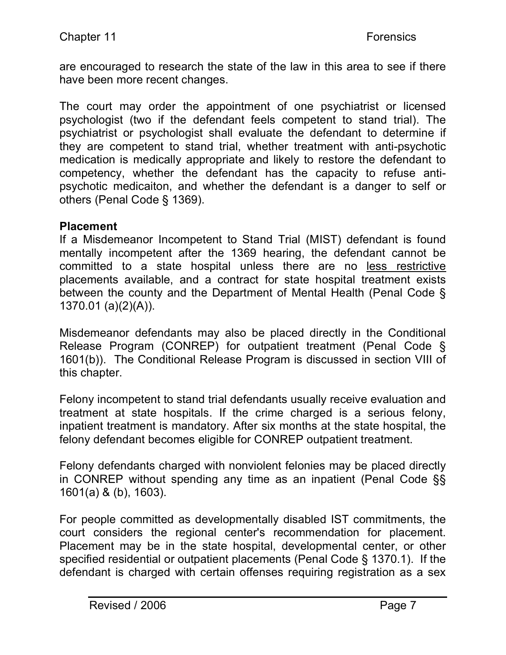are encouraged to research the state of the law in this area to see if there have been more recent changes.

The court may order the appointment of one psychiatrist or licensed psychologist (two if the defendant feels competent to stand trial). The psychiatrist or psychologist shall evaluate the defendant to determine if they are competent to stand trial, whether treatment with anti-psychotic medication is medically appropriate and likely to restore the defendant to competency, whether the defendant has the capacity to refuse antipsychotic medicaiton, and whether the defendant is a danger to self or others (Penal Code § 1369).

#### **Placement**

If a Misdemeanor Incompetent to Stand Trial (MIST) defendant is found mentally incompetent after the 1369 hearing, the defendant cannot be committed to a state hospital unless there are no less restrictive placements available, and a contract for state hospital treatment exists between the county and the Department of Mental Health (Penal Code § 1370.01 (a)(2)(A)).

Misdemeanor defendants may also be placed directly in the Conditional Release Program (CONREP) for outpatient treatment (Penal Code § 1601(b)). The Conditional Release Program is discussed in section VIII of this chapter.

Felony incompetent to stand trial defendants usually receive evaluation and treatment at state hospitals. If the crime charged is a serious felony, inpatient treatment is mandatory. After six months at the state hospital, the felony defendant becomes eligible for CONREP outpatient treatment.

Felony defendants charged with nonviolent felonies may be placed directly in CONREP without spending any time as an inpatient (Penal Code §§ 1601(a) & (b), 1603).

For people committed as developmentally disabled IST commitments, the court considers the regional center's recommendation for placement. Placement may be in the state hospital, developmental center, or other specified residential or outpatient placements (Penal Code § 1370.1). If the defendant is charged with certain offenses requiring registration as a sex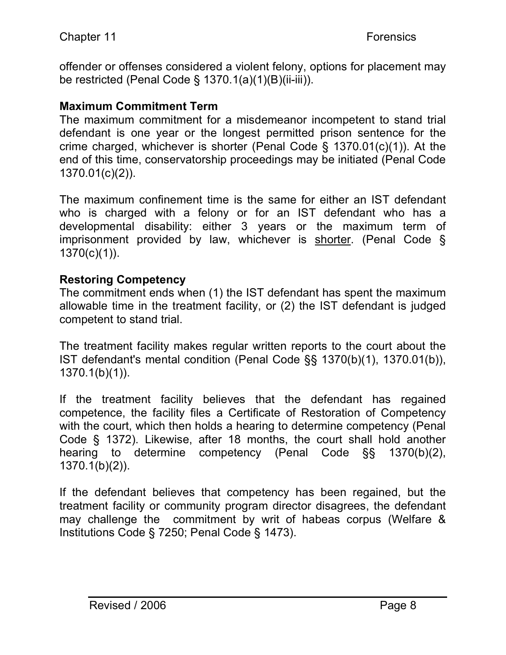offender or offenses considered a violent felony, options for placement may be restricted (Penal Code § 1370.1(a)(1)(B)(ii-iii)).

## **Maximum Commitment Term**

The maximum commitment for a misdemeanor incompetent to stand trial defendant is one year or the longest permitted prison sentence for the crime charged, whichever is shorter (Penal Code § 1370.01(c)(1)). At the end of this time, conservatorship proceedings may be initiated (Penal Code 1370.01(c)(2)).

The maximum confinement time is the same for either an IST defendant who is charged with a felony or for an IST defendant who has a developmental disability: either 3 years or the maximum term of imprisonment provided by law, whichever is shorter. (Penal Code § 1370(c)(1)).

# **Restoring Competency**

The commitment ends when (1) the IST defendant has spent the maximum allowable time in the treatment facility, or (2) the IST defendant is judged competent to stand trial.

The treatment facility makes regular written reports to the court about the IST defendant's mental condition (Penal Code §§ 1370(b)(1), 1370.01(b)), 1370.1(b)(1)).

If the treatment facility believes that the defendant has regained competence, the facility files a Certificate of Restoration of Competency with the court, which then holds a hearing to determine competency (Penal Code § 1372). Likewise, after 18 months, the court shall hold another hearing to determine competency (Penal Code §§ 1370(b)(2), 1370.1(b)(2)).

If the defendant believes that competency has been regained, but the treatment facility or community program director disagrees, the defendant may challenge the commitment by writ of habeas corpus (Welfare & Institutions Code § 7250; Penal Code § 1473).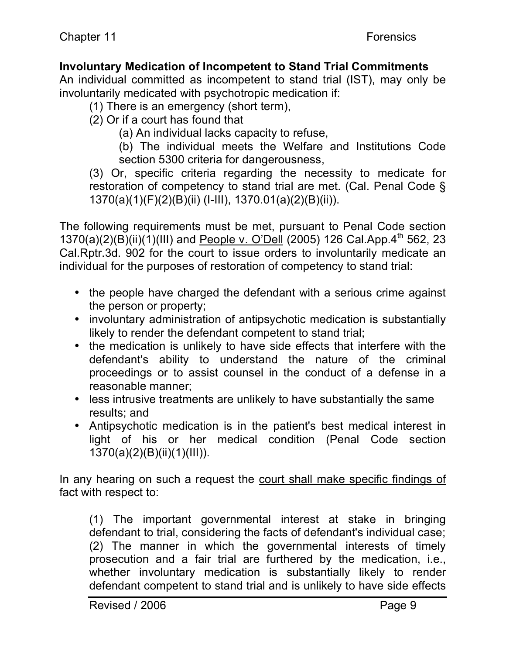# **Involuntary Medication of Incompetent to Stand Trial Commitments**

An individual committed as incompetent to stand trial (IST), may only be involuntarily medicated with psychotropic medication if:

(1) There is an emergency (short term),

(2) Or if a court has found that

(a) An individual lacks capacity to refuse,

(b) The individual meets the Welfare and Institutions Code section 5300 criteria for dangerousness,

(3) Or, specific criteria regarding the necessity to medicate for restoration of competency to stand trial are met. (Cal. Penal Code § 1370(a)(1)(F)(2)(B)(ii) (I-III), 1370.01(a)(2)(B)(ii)).

The following requirements must be met, pursuant to Penal Code section 1370(a)(2)(B)(ii)(1)(III) and People v. O'Dell (2005) 126 Cal.App.4<sup>th</sup> 562, 23 Cal.Rptr.3d. 902 for the court to issue orders to involuntarily medicate an individual for the purposes of restoration of competency to stand trial:

- the people have charged the defendant with a serious crime against the person or property;
- involuntary administration of antipsychotic medication is substantially likely to render the defendant competent to stand trial;
- the medication is unlikely to have side effects that interfere with the defendant's ability to understand the nature of the criminal proceedings or to assist counsel in the conduct of a defense in a reasonable manner;
- less intrusive treatments are unlikely to have substantially the same results; and
- Antipsychotic medication is in the patient's best medical interest in light of his or her medical condition (Penal Code section 1370(a)(2)(B)(ii)(1)(III)).

In any hearing on such a request the court shall make specific findings of fact with respect to:

(1) The important governmental interest at stake in bringing defendant to trial, considering the facts of defendant's individual case; (2) The manner in which the governmental interests of timely prosecution and a fair trial are furthered by the medication, i.e., whether involuntary medication is substantially likely to render defendant competent to stand trial and is unlikely to have side effects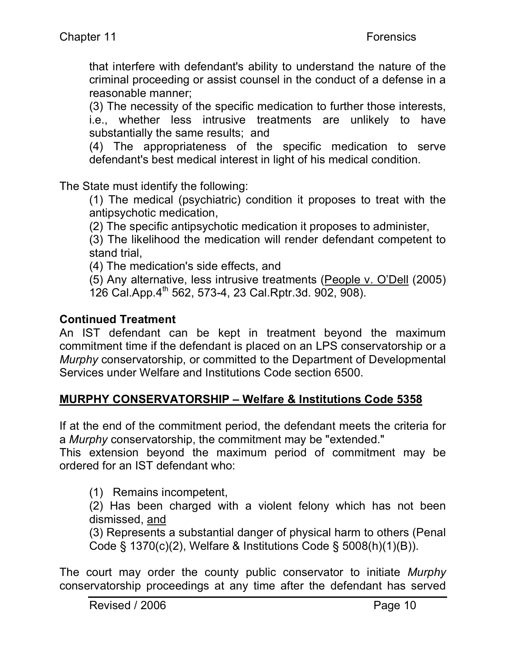that interfere with defendant's ability to understand the nature of the criminal proceeding or assist counsel in the conduct of a defense in a reasonable manner;

(3) The necessity of the specific medication to further those interests, i.e., whether less intrusive treatments are unlikely to have substantially the same results; and

(4) The appropriateness of the specific medication to serve defendant's best medical interest in light of his medical condition.

The State must identify the following:

(1) The medical (psychiatric) condition it proposes to treat with the antipsychotic medication,

(2) The specific antipsychotic medication it proposes to administer,

(3) The likelihood the medication will render defendant competent to stand trial,

(4) The medication's side effects, and

(5) Any alternative, less intrusive treatments (People v. O'Dell (2005) 126 Cal.App.4<sup>th</sup> 562, 573-4, 23 Cal.Rptr.3d. 902, 908).

## **Continued Treatment**

An IST defendant can be kept in treatment beyond the maximum commitment time if the defendant is placed on an LPS conservatorship or a *Murphy* conservatorship, or committed to the Department of Developmental Services under Welfare and Institutions Code section 6500.

# **MURPHY CONSERVATORSHIP – Welfare & Institutions Code 5358**

If at the end of the commitment period, the defendant meets the criteria for a *Murphy* conservatorship, the commitment may be "extended."

This extension beyond the maximum period of commitment may be ordered for an IST defendant who:

(1) Remains incompetent,

(2) Has been charged with a violent felony which has not been dismissed, and

(3) Represents a substantial danger of physical harm to others (Penal Code § 1370(c)(2), Welfare & Institutions Code § 5008(h)(1)(B)).

The court may order the county public conservator to initiate *Murphy* conservatorship proceedings at any time after the defendant has served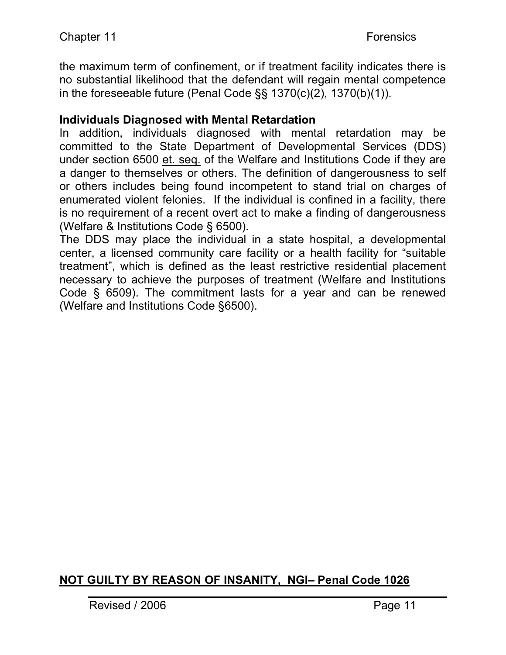the maximum term of confinement, or if treatment facility indicates there is no substantial likelihood that the defendant will regain mental competence in the foreseeable future (Penal Code §§ 1370(c)(2), 1370(b)(1)).

#### **Individuals Diagnosed with Mental Retardation**

In addition, individuals diagnosed with mental retardation may be committed to the State Department of Developmental Services (DDS) under section 6500 et. seq. of the Welfare and Institutions Code if they are a danger to themselves or others. The definition of dangerousness to self or others includes being found incompetent to stand trial on charges of enumerated violent felonies. If the individual is confined in a facility, there is no requirement of a recent overt act to make a finding of dangerousness (Welfare & Institutions Code § 6500).

The DDS may place the individual in a state hospital, a developmental center, a licensed community care facility or a health facility for "suitable treatment", which is defined as the least restrictive residential placement necessary to achieve the purposes of treatment (Welfare and Institutions Code § 6509). The commitment lasts for a year and can be renewed (Welfare and Institutions Code §6500).

# **NOT GUILTY BY REASON OF INSANITY, NGI– Penal Code 1026**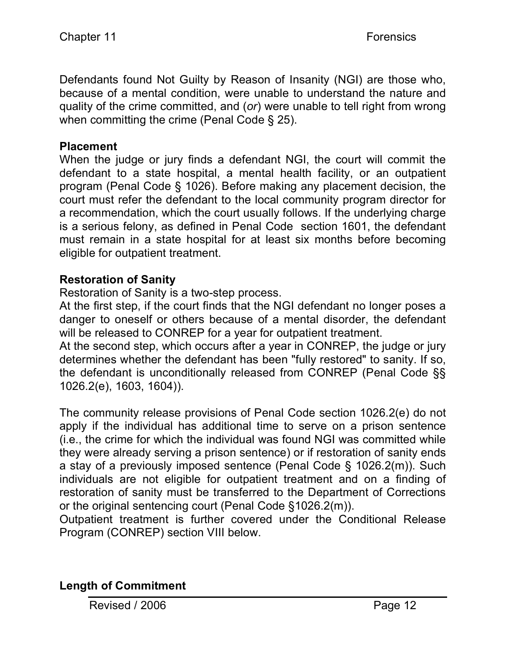Defendants found Not Guilty by Reason of Insanity (NGI) are those who, because of a mental condition, were unable to understand the nature and quality of the crime committed, and (*or*) were unable to tell right from wrong when committing the crime (Penal Code § 25).

#### **Placement**

When the judge or jury finds a defendant NGI, the court will commit the defendant to a state hospital, a mental health facility, or an outpatient program (Penal Code § 1026). Before making any placement decision, the court must refer the defendant to the local community program director for a recommendation, which the court usually follows. If the underlying charge is a serious felony, as defined in Penal Code section 1601, the defendant must remain in a state hospital for at least six months before becoming eligible for outpatient treatment.

#### **Restoration of Sanity**

Restoration of Sanity is a two-step process.

At the first step, if the court finds that the NGI defendant no longer poses a danger to oneself or others because of a mental disorder, the defendant will be released to CONREP for a year for outpatient treatment.

At the second step, which occurs after a year in CONREP, the judge or jury determines whether the defendant has been "fully restored" to sanity. If so, the defendant is unconditionally released from CONREP (Penal Code §§ 1026.2(e), 1603, 1604)).

The community release provisions of Penal Code section 1026.2(e) do not apply if the individual has additional time to serve on a prison sentence (i.e., the crime for which the individual was found NGI was committed while they were already serving a prison sentence) or if restoration of sanity ends a stay of a previously imposed sentence (Penal Code § 1026.2(m)). Such individuals are not eligible for outpatient treatment and on a finding of restoration of sanity must be transferred to the Department of Corrections or the original sentencing court (Penal Code §1026.2(m)).

Outpatient treatment is further covered under the Conditional Release Program (CONREP) section VIII below.

#### **Length of Commitment**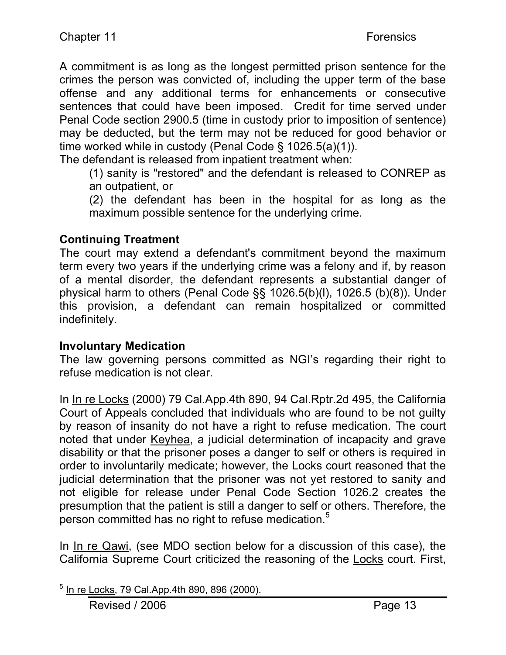A commitment is as long as the longest permitted prison sentence for the crimes the person was convicted of, including the upper term of the base offense and any additional terms for enhancements or consecutive sentences that could have been imposed. Credit for time served under Penal Code section 2900.5 (time in custody prior to imposition of sentence) may be deducted, but the term may not be reduced for good behavior or time worked while in custody (Penal Code § 1026.5(a)(1)).

The defendant is released from inpatient treatment when:

(1) sanity is "restored" and the defendant is released to CONREP as an outpatient, or

(2) the defendant has been in the hospital for as long as the maximum possible sentence for the underlying crime.

## **Continuing Treatment**

The court may extend a defendant's commitment beyond the maximum term every two years if the underlying crime was a felony and if, by reason of a mental disorder, the defendant represents a substantial danger of physical harm to others (Penal Code §§ 1026.5(b)(l), 1026.5 (b)(8)). Under this provision, a defendant can remain hospitalized or committed indefinitely.

#### **Involuntary Medication**

The law governing persons committed as NGI's regarding their right to refuse medication is not clear.

In In re Locks (2000) 79 Cal.App.4th 890, 94 Cal.Rptr.2d 495, the California Court of Appeals concluded that individuals who are found to be not guilty by reason of insanity do not have a right to refuse medication. The court noted that under Keyhea, a judicial determination of incapacity and grave disability or that the prisoner poses a danger to self or others is required in order to involuntarily medicate; however, the Locks court reasoned that the judicial determination that the prisoner was not yet restored to sanity and not eligible for release under Penal Code Section 1026.2 creates the presumption that the patient is still a danger to self or others. Therefore, the person committed has no right to refuse medication.<sup>5</sup>

In In re Qawi, (see MDO section below for a discussion of this case), the California Supreme Court criticized the reasoning of the Locks court. First,

l

 $5$  In re Locks, 79 Cal. App. 4th 890, 896 (2000).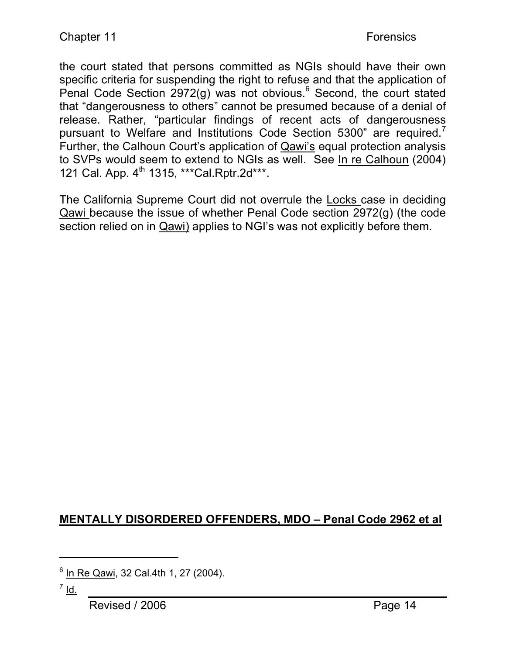the court stated that persons committed as NGIs should have their own specific criteria for suspending the right to refuse and that the application of Penal Code Section 2972(g) was not obvious.<sup>6</sup> Second, the court stated that "dangerousness to others" cannot be presumed because of a denial of release. Rather, "particular findings of recent acts of dangerousness pursuant to Welfare and Institutions Code Section 5300" are required.<sup>7</sup> Further, the Calhoun Court's application of Qawi's equal protection analysis to SVPs would seem to extend to NGIs as well. See In re Calhoun (2004) 121 Cal. App. 4<sup>th</sup> 1315, \*\*\*Cal.Rptr.2d\*\*\*.

The California Supreme Court did not overrule the Locks case in deciding Qawi because the issue of whether Penal Code section 2972(g) (the code section relied on in Qawi) applies to NGI's was not explicitly before them.

# **MENTALLY DISORDERED OFFENDERS, MDO – Penal Code 2962 et al**

l

<sup>6</sup> In Re Qawi, 32 Cal.4th 1, 27 (2004).

 $<sup>7</sup>$  Id.</sup>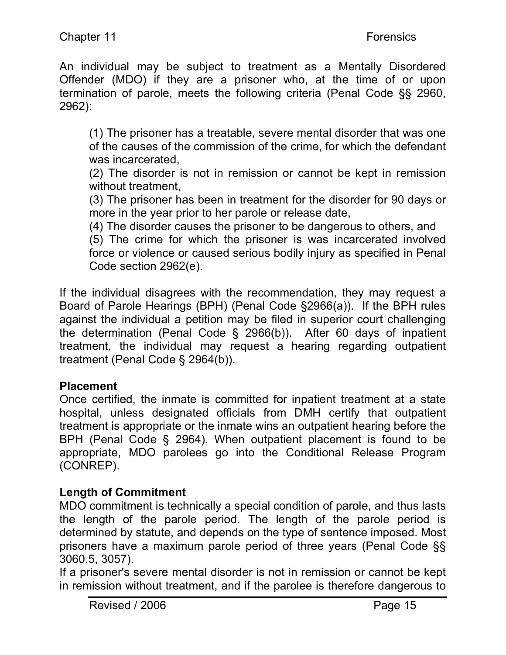An individual may be subject to treatment as a Mentally Disordered Offender (MDO) if they are a prisoner who, at the time of or upon termination of parole, meets the following criteria (Penal Code §§ 2960, 2962):

(1) The prisoner has a treatable, severe mental disorder that was one of the causes of the commission of the crime, for which the defendant was incarcerated,

(2) The disorder is not in remission or cannot be kept in remission without treatment,

(3) The prisoner has been in treatment for the disorder for 90 days or more in the year prior to her parole or release date,

(4) The disorder causes the prisoner to be dangerous to others, and (5) The crime for which the prisoner is was incarcerated involved force or violence or caused serious bodily injury as specified in Penal Code section 2962(e).

If the individual disagrees with the recommendation, they may request a Board of Parole Hearings (BPH) (Penal Code §2966(a)). If the BPH rules against the individual a petition may be filed in superior court challenging the determination (Penal Code § 2966(b)). After 60 days of inpatient treatment, the individual may request a hearing regarding outpatient treatment (Penal Code § 2964(b)).

# **Placement**

Once certified, the inmate is committed for inpatient treatment at a state hospital, unless designated officials from DMH certify that outpatient treatment is appropriate or the inmate wins an outpatient hearing before the BPH (Penal Code § 2964). When outpatient placement is found to be appropriate, MDO parolees go into the Conditional Release Program (CONREP).

# **Length of Commitment**

MDO commitment is technically a special condition of parole, and thus lasts the length of the parole period. The length of the parole period is determined by statute, and depends on the type of sentence imposed. Most prisoners have a maximum parole period of three years (Penal Code §§ 3060.5, 3057).

If a prisoner's severe mental disorder is not in remission or cannot be kept in remission without treatment, and if the parolee is therefore dangerous to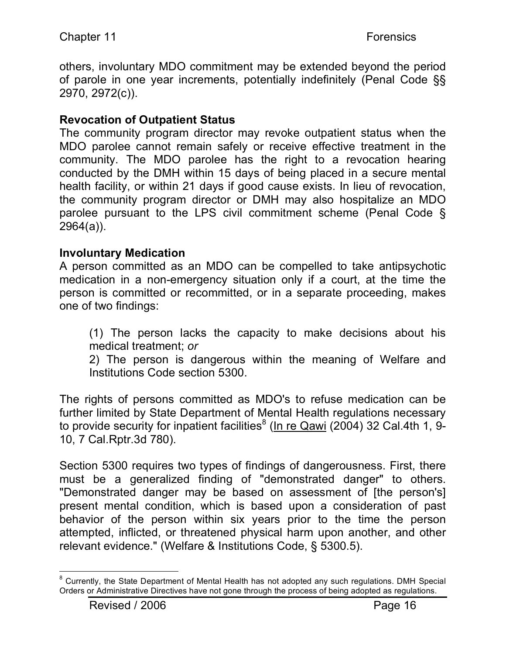others, involuntary MDO commitment may be extended beyond the period of parole in one year increments, potentially indefinitely (Penal Code §§ 2970, 2972(c)).

## **Revocation of Outpatient Status**

The community program director may revoke outpatient status when the MDO parolee cannot remain safely or receive effective treatment in the community. The MDO parolee has the right to a revocation hearing conducted by the DMH within 15 days of being placed in a secure mental health facility, or within 21 days if good cause exists. In lieu of revocation, the community program director or DMH may also hospitalize an MDO parolee pursuant to the LPS civil commitment scheme (Penal Code § 2964(a)).

#### **Involuntary Medication**

A person committed as an MDO can be compelled to take antipsychotic medication in a non-emergency situation only if a court, at the time the person is committed or recommitted, or in a separate proceeding, makes one of two findings:

(1) The person lacks the capacity to make decisions about his medical treatment; *or*

2) The person is dangerous within the meaning of Welfare and Institutions Code section 5300.

The rights of persons committed as MDO's to refuse medication can be further limited by State Department of Mental Health regulations necessary to provide security for inpatient facilities<sup>8</sup> (In re Qawi (2004) 32 Cal.4th 1, 9-10, 7 Cal.Rptr.3d 780).

Section 5300 requires two types of findings of dangerousness. First, there must be a generalized finding of "demonstrated danger" to others. "Demonstrated danger may be based on assessment of [the person's] present mental condition, which is based upon a consideration of past behavior of the person within six years prior to the time the person attempted, inflicted, or threatened physical harm upon another, and other relevant evidence." (Welfare & Institutions Code, § 5300.5).

<sup>-&</sup>lt;br>8  $8$  Currently, the State Department of Mental Health has not adopted any such regulations. DMH Special Orders or Administrative Directives have not gone through the process of being adopted as regulations.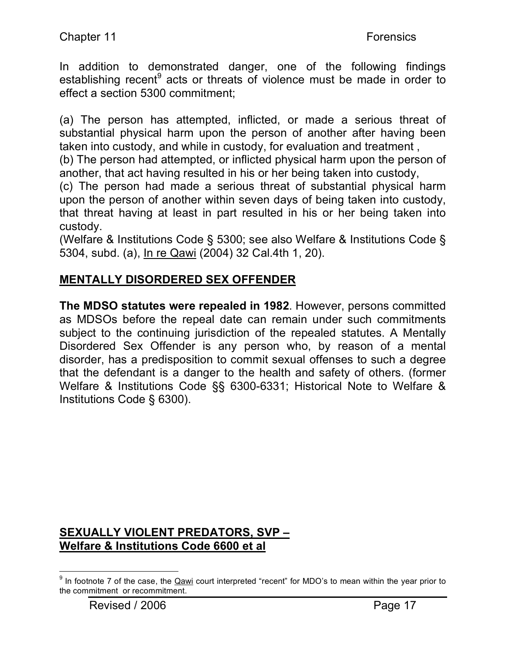In addition to demonstrated danger, one of the following findings establishing recent<sup>9</sup> acts or threats of violence must be made in order to effect a section 5300 commitment;

(a) The person has attempted, inflicted, or made a serious threat of substantial physical harm upon the person of another after having been taken into custody, and while in custody, for evaluation and treatment ,

(b) The person had attempted, or inflicted physical harm upon the person of another, that act having resulted in his or her being taken into custody,

(c) The person had made a serious threat of substantial physical harm upon the person of another within seven days of being taken into custody, that threat having at least in part resulted in his or her being taken into custody.

(Welfare & Institutions Code § 5300; see also Welfare & Institutions Code § 5304, subd. (a), In re Qawi (2004) 32 Cal.4th 1, 20).

# **MENTALLY DISORDERED SEX OFFENDER**

**The MDSO statutes were repealed in 1982**. However, persons committed as MDSOs before the repeal date can remain under such commitments subject to the continuing jurisdiction of the repealed statutes. A Mentally Disordered Sex Offender is any person who, by reason of a mental disorder, has a predisposition to commit sexual offenses to such a degree that the defendant is a danger to the health and safety of others. (former Welfare & Institutions Code §§ 6300-6331; Historical Note to Welfare & Institutions Code § 6300).

# **SEXUALLY VIOLENT PREDATORS, SVP – Welfare & Institutions Code 6600 et al**

<sup>-&</sup>lt;br>9  $9$  In footnote 7 of the case, the Qawi court interpreted "recent" for MDO's to mean within the year prior to the commitment or recommitment.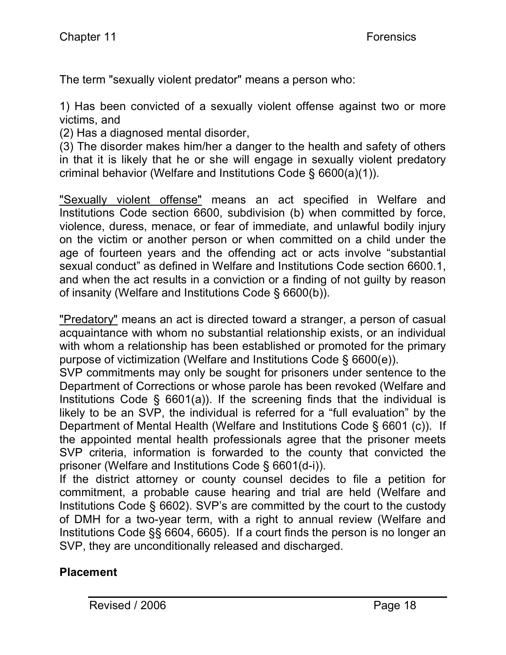The term "sexually violent predator" means a person who:

1) Has been convicted of a sexually violent offense against two or more victims, and

(2) Has a diagnosed mental disorder,

(3) The disorder makes him/her a danger to the health and safety of others in that it is likely that he or she will engage in sexually violent predatory criminal behavior (Welfare and Institutions Code § 6600(a)(1)).

"Sexually violent offense" means an act specified in Welfare and Institutions Code section 6600, subdivision (b) when committed by force, violence, duress, menace, or fear of immediate, and unlawful bodily injury on the victim or another person or when committed on a child under the age of fourteen years and the offending act or acts involve "substantial sexual conduct" as defined in Welfare and Institutions Code section 6600.1, and when the act results in a conviction or a finding of not guilty by reason of insanity (Welfare and Institutions Code § 6600(b)).

"Predatory" means an act is directed toward a stranger, a person of casual acquaintance with whom no substantial relationship exists, or an individual with whom a relationship has been established or promoted for the primary purpose of victimization (Welfare and Institutions Code § 6600(e)).

SVP commitments may only be sought for prisoners under sentence to the Department of Corrections or whose parole has been revoked (Welfare and Institutions Code  $\S$  6601(a)). If the screening finds that the individual is likely to be an SVP, the individual is referred for a "full evaluation" by the Department of Mental Health (Welfare and Institutions Code § 6601 (c)). If the appointed mental health professionals agree that the prisoner meets SVP criteria, information is forwarded to the county that convicted the prisoner (Welfare and Institutions Code § 6601(d-i)).

If the district attorney or county counsel decides to file a petition for commitment, a probable cause hearing and trial are held (Welfare and Institutions Code § 6602). SVP's are committed by the court to the custody of DMH for a two-year term, with a right to annual review (Welfare and Institutions Code §§ 6604, 6605). If a court finds the person is no longer an SVP, they are unconditionally released and discharged.

# **Placement**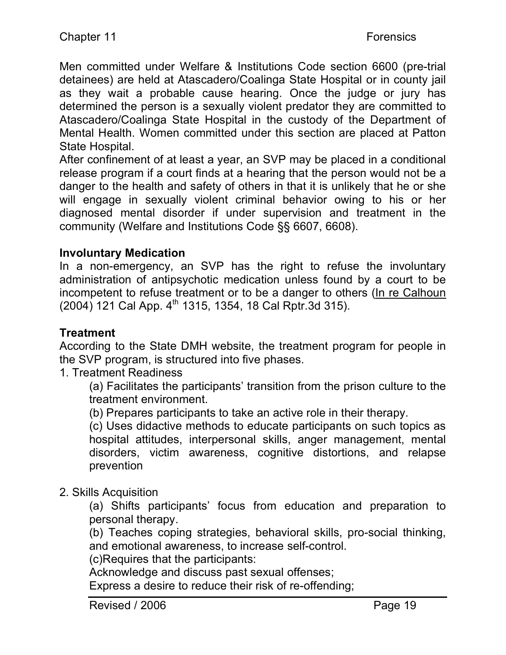Men committed under Welfare & Institutions Code section 6600 (pre-trial detainees) are held at Atascadero/Coalinga State Hospital or in county jail as they wait a probable cause hearing. Once the judge or jury has determined the person is a sexually violent predator they are committed to Atascadero/Coalinga State Hospital in the custody of the Department of Mental Health. Women committed under this section are placed at Patton State Hospital.

After confinement of at least a year, an SVP may be placed in a conditional release program if a court finds at a hearing that the person would not be a danger to the health and safety of others in that it is unlikely that he or she will engage in sexually violent criminal behavior owing to his or her diagnosed mental disorder if under supervision and treatment in the community (Welfare and Institutions Code §§ 6607, 6608).

#### **Involuntary Medication**

In a non-emergency, an SVP has the right to refuse the involuntary administration of antipsychotic medication unless found by a court to be incompetent to refuse treatment or to be a danger to others (In re Calhoun  $(2004)$  121 Cal App.  $4<sup>th</sup>$  1315, 1354, 18 Cal Rptr. 3d 315).

#### **Treatment**

According to the State DMH website, the treatment program for people in the SVP program, is structured into five phases.

1. Treatment Readiness

(a) Facilitates the participants' transition from the prison culture to the treatment environment.

(b) Prepares participants to take an active role in their therapy.

(c) Uses didactive methods to educate participants on such topics as hospital attitudes, interpersonal skills, anger management, mental disorders, victim awareness, cognitive distortions, and relapse prevention

#### 2. Skills Acquisition

(a) Shifts participants' focus from education and preparation to personal therapy.

(b) Teaches coping strategies, behavioral skills, pro-social thinking, and emotional awareness, to increase self-control.

(c)Requires that the participants:

Acknowledge and discuss past sexual offenses;

Express a desire to reduce their risk of re-offending;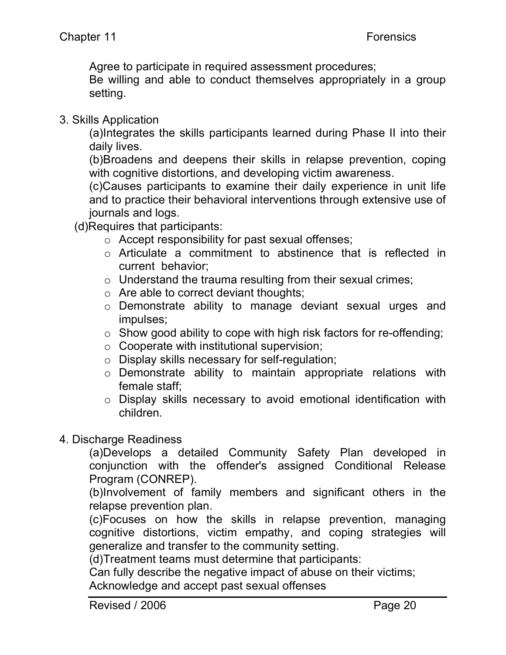Agree to participate in required assessment procedures;

Be willing and able to conduct themselves appropriately in a group setting.

3. Skills Application

(a)Integrates the skills participants learned during Phase II into their daily lives.

(b)Broadens and deepens their skills in relapse prevention, coping with cognitive distortions, and developing victim awareness.

(c)Causes participants to examine their daily experience in unit life and to practice their behavioral interventions through extensive use of journals and logs.

(d)Requires that participants:

- o Accept responsibility for past sexual offenses;
- o Articulate a commitment to abstinence that is reflected in current behavior;
- o Understand the trauma resulting from their sexual crimes;
- o Are able to correct deviant thoughts;
- o Demonstrate ability to manage deviant sexual urges and impulses;
- $\circ$  Show good ability to cope with high risk factors for re-offending;
- o Cooperate with institutional supervision;
- o Display skills necessary for self-regulation;
- o Demonstrate ability to maintain appropriate relations with female staff;
- o Display skills necessary to avoid emotional identification with children.

#### 4. Discharge Readiness

(a)Develops a detailed Community Safety Plan developed in conjunction with the offender's assigned Conditional Release Program (CONREP).

(b)Involvement of family members and significant others in the relapse prevention plan.

(c)Focuses on how the skills in relapse prevention, managing cognitive distortions, victim empathy, and coping strategies will generalize and transfer to the community setting.

(d)Treatment teams must determine that participants:

Can fully describe the negative impact of abuse on their victims;

Acknowledge and accept past sexual offenses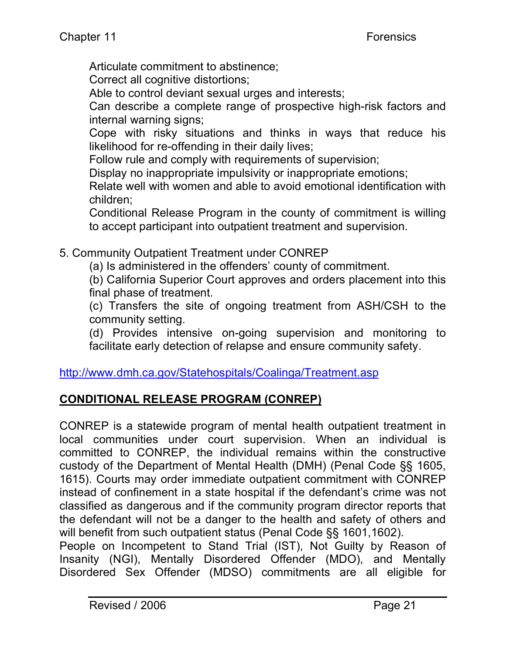Articulate commitment to abstinence;

Correct all cognitive distortions;

Able to control deviant sexual urges and interests;

Can describe a complete range of prospective high-risk factors and internal warning signs;

Cope with risky situations and thinks in ways that reduce his likelihood for re-offending in their daily lives;

Follow rule and comply with requirements of supervision;

Display no inappropriate impulsivity or inappropriate emotions;

Relate well with women and able to avoid emotional identification with children;

Conditional Release Program in the county of commitment is willing to accept participant into outpatient treatment and supervision.

5. Community Outpatient Treatment under CONREP

(a) Is administered in the offenders' county of commitment.

(b) California Superior Court approves and orders placement into this final phase of treatment.

(c) Transfers the site of ongoing treatment from ASH/CSH to the community setting.

(d) Provides intensive on-going supervision and monitoring to facilitate early detection of relapse and ensure community safety.

#### http://www.dmh.ca.gov/Statehospitals/Coalinga/Treatment.asp

# **CONDITIONAL RELEASE PROGRAM (CONREP)**

CONREP is a statewide program of mental health outpatient treatment in local communities under court supervision. When an individual is committed to CONREP, the individual remains within the constructive custody of the Department of Mental Health (DMH) (Penal Code §§ 1605, 1615). Courts may order immediate outpatient commitment with CONREP instead of confinement in a state hospital if the defendant's crime was not classified as dangerous and if the community program director reports that the defendant will not be a danger to the health and safety of others and will benefit from such outpatient status (Penal Code §§ 1601,1602).

People on Incompetent to Stand Trial (IST), Not Guilty by Reason of Insanity (NGI), Mentally Disordered Offender (MDO), and Mentally Disordered Sex Offender (MDSO) commitments are all eligible for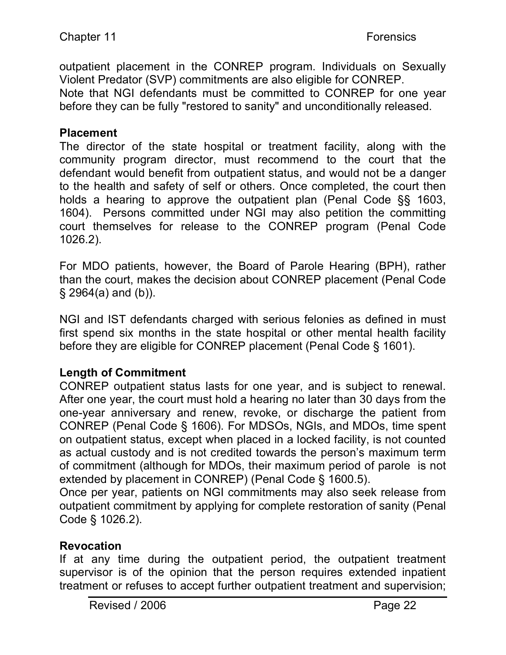outpatient placement in the CONREP program. Individuals on Sexually Violent Predator (SVP) commitments are also eligible for CONREP. Note that NGI defendants must be committed to CONREP for one year before they can be fully "restored to sanity" and unconditionally released.

#### **Placement**

The director of the state hospital or treatment facility, along with the community program director, must recommend to the court that the defendant would benefit from outpatient status, and would not be a danger to the health and safety of self or others. Once completed, the court then holds a hearing to approve the outpatient plan (Penal Code §§ 1603, 1604). Persons committed under NGI may also petition the committing court themselves for release to the CONREP program (Penal Code 1026.2).

For MDO patients, however, the Board of Parole Hearing (BPH), rather than the court, makes the decision about CONREP placement (Penal Code § 2964(a) and (b)).

NGI and IST defendants charged with serious felonies as defined in must first spend six months in the state hospital or other mental health facility before they are eligible for CONREP placement (Penal Code § 1601).

# **Length of Commitment**

CONREP outpatient status lasts for one year, and is subject to renewal. After one year, the court must hold a hearing no later than 30 days from the one-year anniversary and renew, revoke, or discharge the patient from CONREP (Penal Code § 1606). For MDSOs, NGIs, and MDOs, time spent on outpatient status, except when placed in a locked facility, is not counted as actual custody and is not credited towards the person's maximum term of commitment (although for MDOs, their maximum period of parole is not extended by placement in CONREP) (Penal Code § 1600.5).

Once per year, patients on NGI commitments may also seek release from outpatient commitment by applying for complete restoration of sanity (Penal Code § 1026.2).

# **Revocation**

If at any time during the outpatient period, the outpatient treatment supervisor is of the opinion that the person requires extended inpatient treatment or refuses to accept further outpatient treatment and supervision;